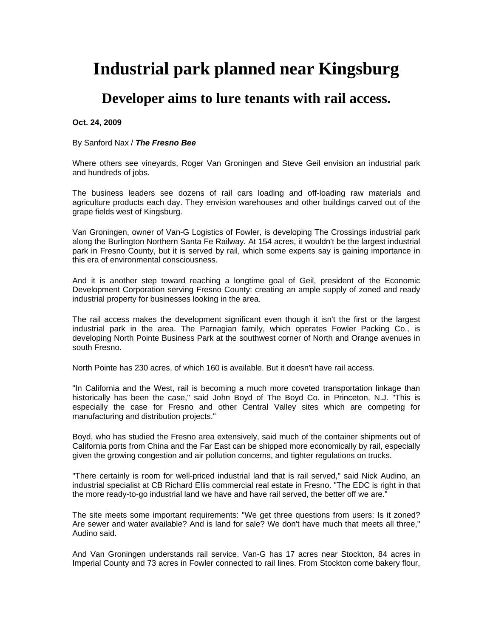## **Industrial park planned near Kingsburg**

## **Developer aims to lure tenants with rail access.**

**Oct. 24, 2009** 

## By Sanford Nax / *The Fresno Bee*

Where others see vineyards, Roger Van Groningen and Steve Geil envision an industrial park and hundreds of jobs.

The business leaders see dozens of rail cars loading and off-loading raw materials and agriculture products each day. They envision warehouses and other buildings carved out of the grape fields west of Kingsburg.

Van Groningen, owner of Van-G Logistics of Fowler, is developing The Crossings industrial park along the Burlington Northern Santa Fe Railway. At 154 acres, it wouldn't be the largest industrial park in Fresno County, but it is served by rail, which some experts say is gaining importance in this era of environmental consciousness.

And it is another step toward reaching a longtime goal of Geil, president of the Economic Development Corporation serving Fresno County: creating an ample supply of zoned and ready industrial property for businesses looking in the area.

The rail access makes the development significant even though it isn't the first or the largest industrial park in the area. The Parnagian family, which operates Fowler Packing Co., is developing North Pointe Business Park at the southwest corner of North and Orange avenues in south Fresno.

North Pointe has 230 acres, of which 160 is available. But it doesn't have rail access.

"In California and the West, rail is becoming a much more coveted transportation linkage than historically has been the case," said John Boyd of The Boyd Co. in Princeton, N.J. "This is especially the case for Fresno and other Central Valley sites which are competing for manufacturing and distribution projects."

Boyd, who has studied the Fresno area extensively, said much of the container shipments out of California ports from China and the Far East can be shipped more economically by rail, especially given the growing congestion and air pollution concerns, and tighter regulations on trucks.

"There certainly is room for well-priced industrial land that is rail served," said Nick Audino, an industrial specialist at CB Richard Ellis commercial real estate in Fresno. "The EDC is right in that the more ready-to-go industrial land we have and have rail served, the better off we are."

The site meets some important requirements: "We get three questions from users: Is it zoned? Are sewer and water available? And is land for sale? We don't have much that meets all three," Audino said.

And Van Groningen understands rail service. Van-G has 17 acres near Stockton, 84 acres in Imperial County and 73 acres in Fowler connected to rail lines. From Stockton come bakery flour,